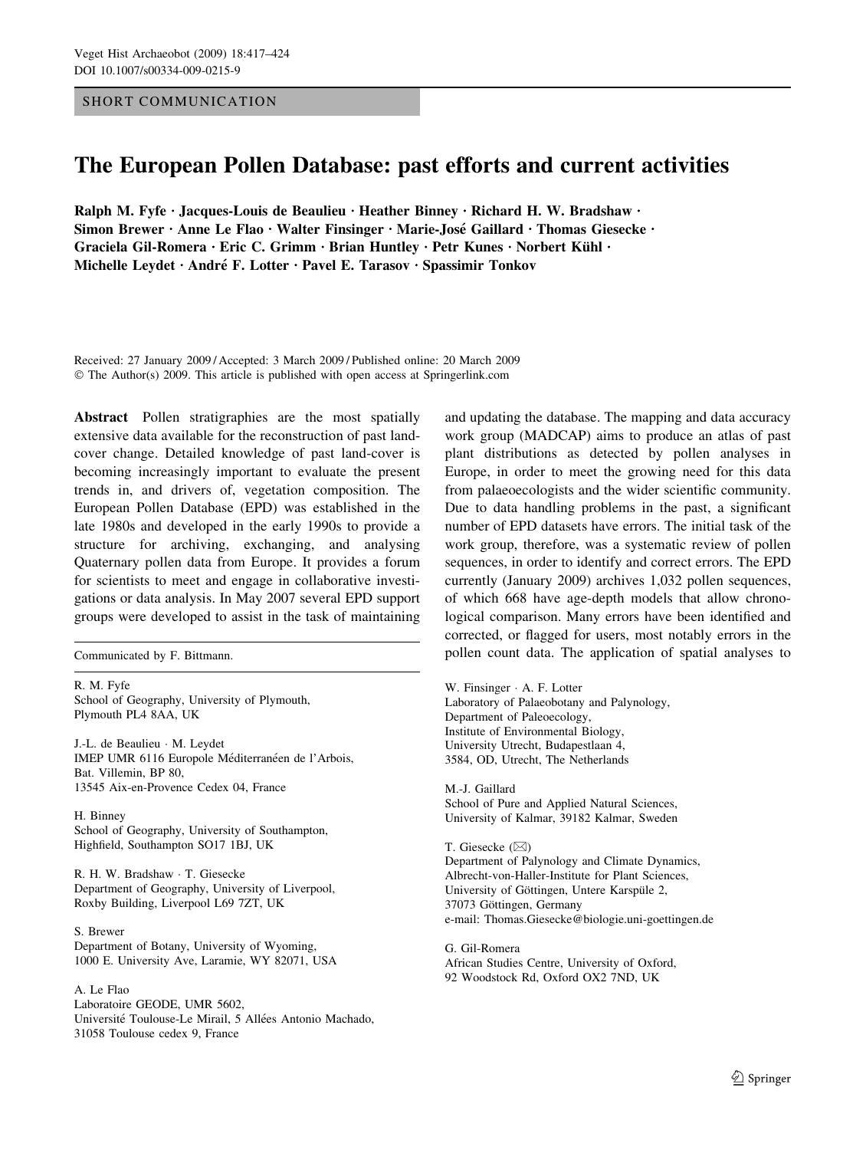# SHORT COMMUNICATION

# The European Pollen Database: past efforts and current activities

Ralph M. Fyfe • Jacques-Louis de Beaulieu • Heather Binney • Richard H. W. Bradshaw • Simon Brewer • Anne Le Flao • Walter Finsinger • Marie-José Gaillard • Thomas Giesecke • Graciela Gil-Romera · Eric C. Grimm · Brian Huntley · Petr Kunes · Norbert Kühl · Michelle Leydet · André F. Lotter · Pavel E. Tarasov · Spassimir Tonkov

Received: 27 January 2009 / Accepted: 3 March 2009 / Published online: 20 March 2009  $\odot$  The Author(s) 2009. This article is published with open access at Springerlink.com

Abstract Pollen stratigraphies are the most spatially extensive data available for the reconstruction of past landcover change. Detailed knowledge of past land-cover is becoming increasingly important to evaluate the present trends in, and drivers of, vegetation composition. The European Pollen Database (EPD) was established in the late 1980s and developed in the early 1990s to provide a structure for archiving, exchanging, and analysing Quaternary pollen data from Europe. It provides a forum for scientists to meet and engage in collaborative investigations or data analysis. In May 2007 several EPD support groups were developed to assist in the task of maintaining

R. M. Fyfe School of Geography, University of Plymouth, Plymouth PL4 8AA, UK

J.-L. de Beaulieu · M. Leydet IMEP UMR 6116 Europole Méditerranéen de l'Arbois, Bat. Villemin, BP 80, 13545 Aix-en-Provence Cedex 04, France

H. Binney School of Geography, University of Southampton, Highfield, Southampton SO17 1BJ, UK

R. H. W. Bradshaw · T. Giesecke Department of Geography, University of Liverpool, Roxby Building, Liverpool L69 7ZT, UK

S. Brewer Department of Botany, University of Wyoming, 1000 E. University Ave, Laramie, WY 82071, USA

#### A. Le Flao

Laboratoire GEODE, UMR 5602, Université Toulouse-Le Mirail, 5 Allées Antonio Machado, 31058 Toulouse cedex 9, France

and updating the database. The mapping and data accuracy work group (MADCAP) aims to produce an atlas of past plant distributions as detected by pollen analyses in Europe, in order to meet the growing need for this data from palaeoecologists and the wider scientific community. Due to data handling problems in the past, a significant number of EPD datasets have errors. The initial task of the work group, therefore, was a systematic review of pollen sequences, in order to identify and correct errors. The EPD currently (January 2009) archives 1,032 pollen sequences, of which 668 have age-depth models that allow chronological comparison. Many errors have been identified and corrected, or flagged for users, most notably errors in the Communicated by F. Bittmann. pollen count data. The application of spatial analyses to

> W. Finsinger · A. F. Lotter Laboratory of Palaeobotany and Palynology, Department of Paleoecology, Institute of Environmental Biology, University Utrecht, Budapestlaan 4, 3584, OD, Utrecht, The Netherlands

M.-J. Gaillard School of Pure and Applied Natural Sciences, University of Kalmar, 39182 Kalmar, Sweden

T. Giesecke  $(\boxtimes)$ Department of Palynology and Climate Dynamics, Albrecht-von-Haller-Institute for Plant Sciences, University of Göttingen, Untere Karspüle 2, 37073 Göttingen, Germany e-mail: Thomas.Giesecke@biologie.uni-goettingen.de

G. Gil-Romera African Studies Centre, University of Oxford, 92 Woodstock Rd, Oxford OX2 7ND, UK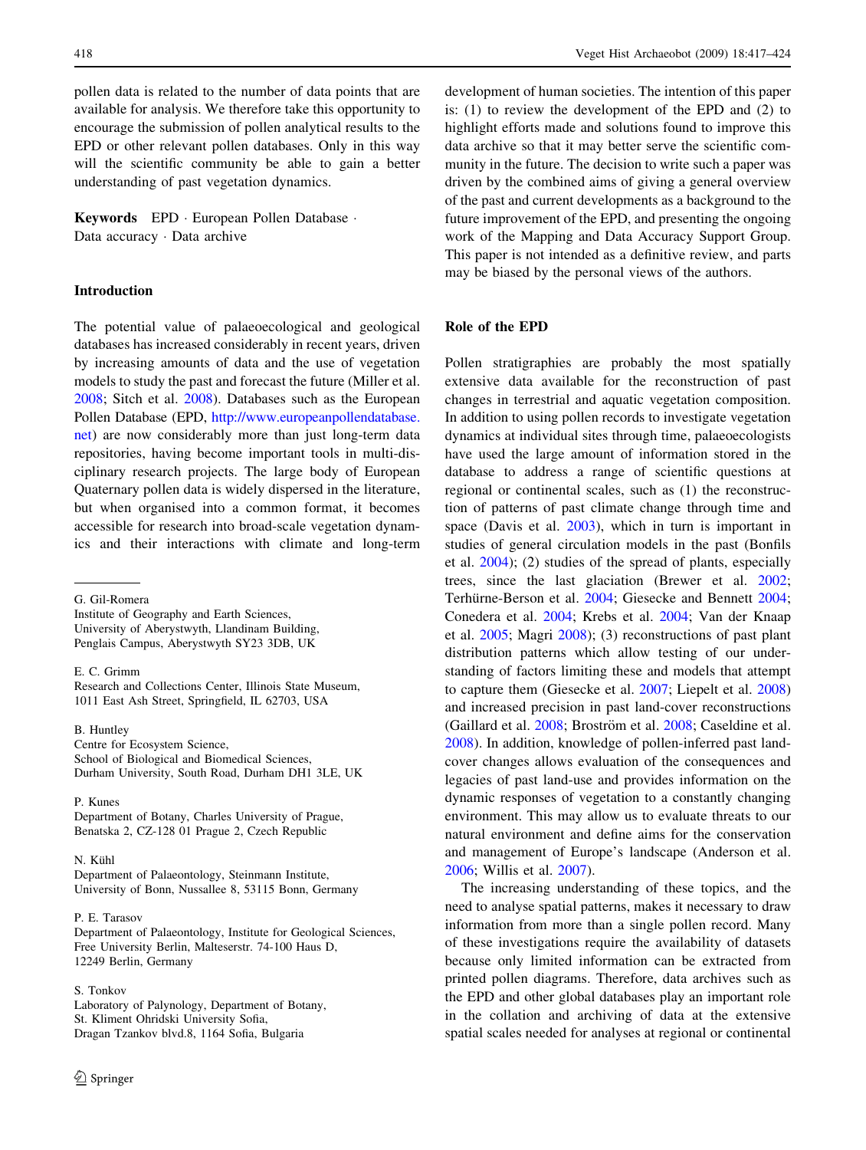pollen data is related to the number of data points that are available for analysis. We therefore take this opportunity to encourage the submission of pollen analytical results to the EPD or other relevant pollen databases. Only in this way will the scientific community be able to gain a better understanding of past vegetation dynamics.

Keywords EPD · European Pollen Database · Data accuracy · Data archive

# Introduction

The potential value of palaeoecological and geological databases has increased considerably in recent years, driven by increasing amounts of data and the use of vegetation models to study the past and forecast the future (Miller et al. [2008;](#page-7-0) Sitch et al. [2008\)](#page-7-0). Databases such as the European Pollen Database (EPD, [http://www.europeanpollendatabase.](http://www.europeanpollendatabase.net) [net](http://www.europeanpollendatabase.net)) are now considerably more than just long-term data repositories, having become important tools in multi-disciplinary research projects. The large body of European Quaternary pollen data is widely dispersed in the literature, but when organised into a common format, it becomes accessible for research into broad-scale vegetation dynamics and their interactions with climate and long-term

G. Gil-Romera

Institute of Geography and Earth Sciences, University of Aberystwyth, Llandinam Building, Penglais Campus, Aberystwyth SY23 3DB, UK

E. C. Grimm

Research and Collections Center, Illinois State Museum, 1011 East Ash Street, Springfield, IL 62703, USA

# B. Huntley

Centre for Ecosystem Science, School of Biological and Biomedical Sciences, Durham University, South Road, Durham DH1 3LE, UK

P. Kunes Department of Botany, Charles University of Prague, Benatska 2, CZ-128 01 Prague 2, Czech Republic

#### N. Kühl

Department of Palaeontology, Steinmann Institute, University of Bonn, Nussallee 8, 53115 Bonn, Germany

P. E. Tarasov

Department of Palaeontology, Institute for Geological Sciences, Free University Berlin, Malteserstr. 74-100 Haus D, 12249 Berlin, Germany

# S. Tonkov

Laboratory of Palynology, Department of Botany, St. Kliment Ohridski University Sofia, Dragan Tzankov blvd.8, 1164 Sofia, Bulgaria

development of human societies. The intention of this paper is: (1) to review the development of the EPD and (2) to highlight efforts made and solutions found to improve this data archive so that it may better serve the scientific community in the future. The decision to write such a paper was driven by the combined aims of giving a general overview of the past and current developments as a background to the future improvement of the EPD, and presenting the ongoing work of the Mapping and Data Accuracy Support Group. This paper is not intended as a definitive review, and parts may be biased by the personal views of the authors.

# Role of the EPD

Pollen stratigraphies are probably the most spatially extensive data available for the reconstruction of past changes in terrestrial and aquatic vegetation composition. In addition to using pollen records to investigate vegetation dynamics at individual sites through time, palaeoecologists have used the large amount of information stored in the database to address a range of scientific questions at regional or continental scales, such as (1) the reconstruction of patterns of past climate change through time and space (Davis et al. [2003\)](#page-7-0), which in turn is important in studies of general circulation models in the past (Bonfils et al. [2004\)](#page-7-0); (2) studies of the spread of plants, especially trees, since the last glaciation (Brewer et al. [2002](#page-7-0); Terhürne-Berson et al. [2004](#page-7-0); Giesecke and Bennett 2004; Conedera et al. [2004;](#page-7-0) Krebs et al. [2004;](#page-7-0) Van der Knaap et al. [2005;](#page-7-0) Magri [2008\)](#page-7-0); (3) reconstructions of past plant distribution patterns which allow testing of our understanding of factors limiting these and models that attempt to capture them (Giesecke et al. [2007;](#page-7-0) Liepelt et al. [2008\)](#page-7-0) and increased precision in past land-cover reconstructions (Gaillard et al. [2008;](#page-7-0) Broström et al. 2008; Caseldine et al. [2008](#page-7-0)). In addition, knowledge of pollen-inferred past landcover changes allows evaluation of the consequences and legacies of past land-use and provides information on the dynamic responses of vegetation to a constantly changing environment. This may allow us to evaluate threats to our natural environment and define aims for the conservation and management of Europe's landscape (Anderson et al. [2006](#page-6-0); Willis et al. [2007\)](#page-7-0).

The increasing understanding of these topics, and the need to analyse spatial patterns, makes it necessary to draw information from more than a single pollen record. Many of these investigations require the availability of datasets because only limited information can be extracted from printed pollen diagrams. Therefore, data archives such as the EPD and other global databases play an important role in the collation and archiving of data at the extensive spatial scales needed for analyses at regional or continental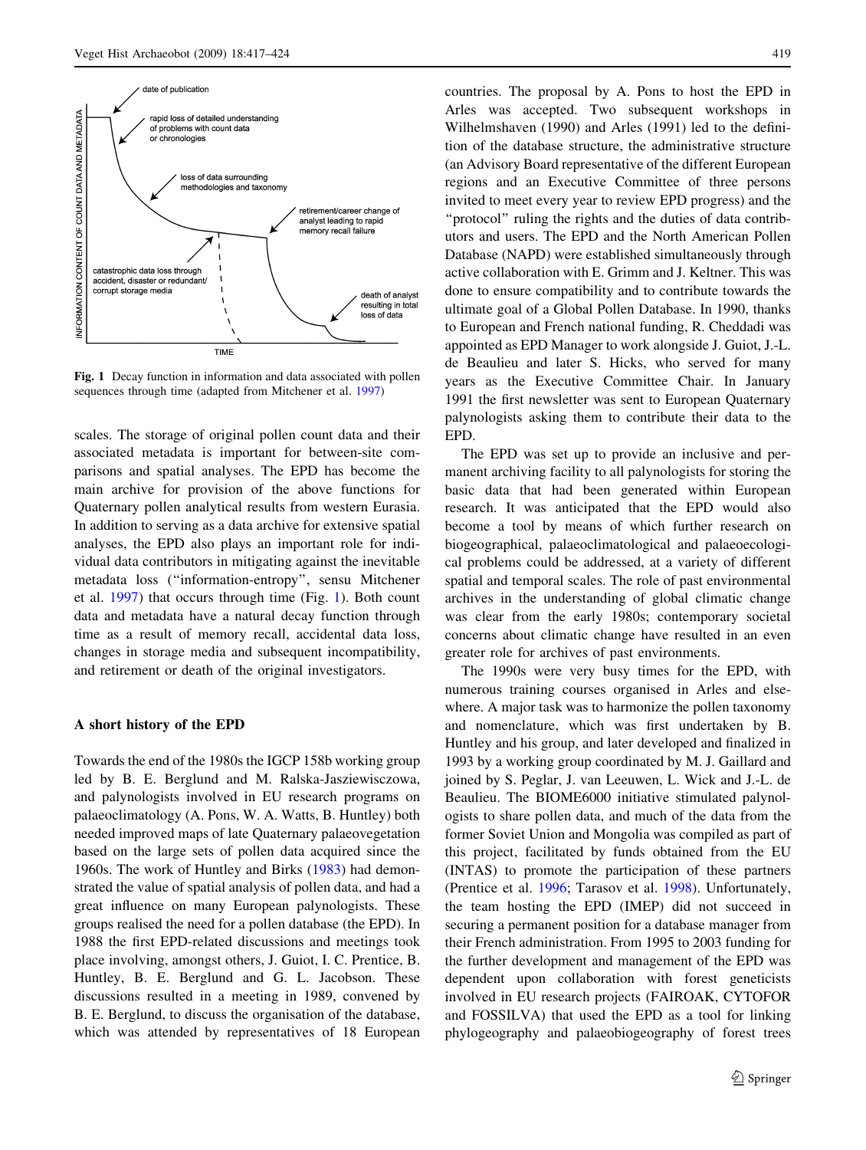

Fig. 1 Decay function in information and data associated with pollen sequences through time (adapted from Mitchener et al. [1997\)](#page-7-0)

scales. The storage of original pollen count data and their associated metadata is important for between-site comparisons and spatial analyses. The EPD has become the main archive for provision of the above functions for Quaternary pollen analytical results from western Eurasia. In addition to serving as a data archive for extensive spatial analyses, the EPD also plays an important role for individual data contributors in mitigating against the inevitable metadata loss (''information-entropy'', sensu Mitchener et al. [1997](#page-7-0)) that occurs through time (Fig. 1). Both count data and metadata have a natural decay function through time as a result of memory recall, accidental data loss, changes in storage media and subsequent incompatibility, and retirement or death of the original investigators.

#### A short history of the EPD

Towards the end of the 1980s the IGCP 158b working group led by B. E. Berglund and M. Ralska-Jasziewisczowa, and palynologists involved in EU research programs on palaeoclimatology (A. Pons, W. A. Watts, B. Huntley) both needed improved maps of late Quaternary palaeovegetation based on the large sets of pollen data acquired since the 1960s. The work of Huntley and Birks ([1983\)](#page-7-0) had demonstrated the value of spatial analysis of pollen data, and had a great influence on many European palynologists. These groups realised the need for a pollen database (the EPD). In 1988 the first EPD-related discussions and meetings took place involving, amongst others, J. Guiot, I. C. Prentice, B. Huntley, B. E. Berglund and G. L. Jacobson. These discussions resulted in a meeting in 1989, convened by B. E. Berglund, to discuss the organisation of the database, which was attended by representatives of 18 European countries. The proposal by A. Pons to host the EPD in Arles was accepted. Two subsequent workshops in Wilhelmshaven (1990) and Arles (1991) led to the definition of the database structure, the administrative structure (an Advisory Board representative of the different European regions and an Executive Committee of three persons invited to meet every year to review EPD progress) and the ''protocol'' ruling the rights and the duties of data contributors and users. The EPD and the North American Pollen Database (NAPD) were established simultaneously through active collaboration with E. Grimm and J. Keltner. This was done to ensure compatibility and to contribute towards the ultimate goal of a Global Pollen Database. In 1990, thanks to European and French national funding, R. Cheddadi was appointed as EPD Manager to work alongside J. Guiot, J.-L. de Beaulieu and later S. Hicks, who served for many years as the Executive Committee Chair. In January 1991 the first newsletter was sent to European Quaternary palynologists asking them to contribute their data to the EPD.

The EPD was set up to provide an inclusive and permanent archiving facility to all palynologists for storing the basic data that had been generated within European research. It was anticipated that the EPD would also become a tool by means of which further research on biogeographical, palaeoclimatological and palaeoecological problems could be addressed, at a variety of different spatial and temporal scales. The role of past environmental archives in the understanding of global climatic change was clear from the early 1980s; contemporary societal concerns about climatic change have resulted in an even greater role for archives of past environments.

The 1990s were very busy times for the EPD, with numerous training courses organised in Arles and elsewhere. A major task was to harmonize the pollen taxonomy and nomenclature, which was first undertaken by B. Huntley and his group, and later developed and finalized in 1993 by a working group coordinated by M. J. Gaillard and joined by S. Peglar, J. van Leeuwen, L. Wick and J.-L. de Beaulieu. The BIOME6000 initiative stimulated palynologists to share pollen data, and much of the data from the former Soviet Union and Mongolia was compiled as part of this project, facilitated by funds obtained from the EU (INTAS) to promote the participation of these partners (Prentice et al. [1996;](#page-7-0) Tarasov et al. [1998](#page-7-0)). Unfortunately, the team hosting the EPD (IMEP) did not succeed in securing a permanent position for a database manager from their French administration. From 1995 to 2003 funding for the further development and management of the EPD was dependent upon collaboration with forest geneticists involved in EU research projects (FAIROAK, CYTOFOR and FOSSILVA) that used the EPD as a tool for linking phylogeography and palaeobiogeography of forest trees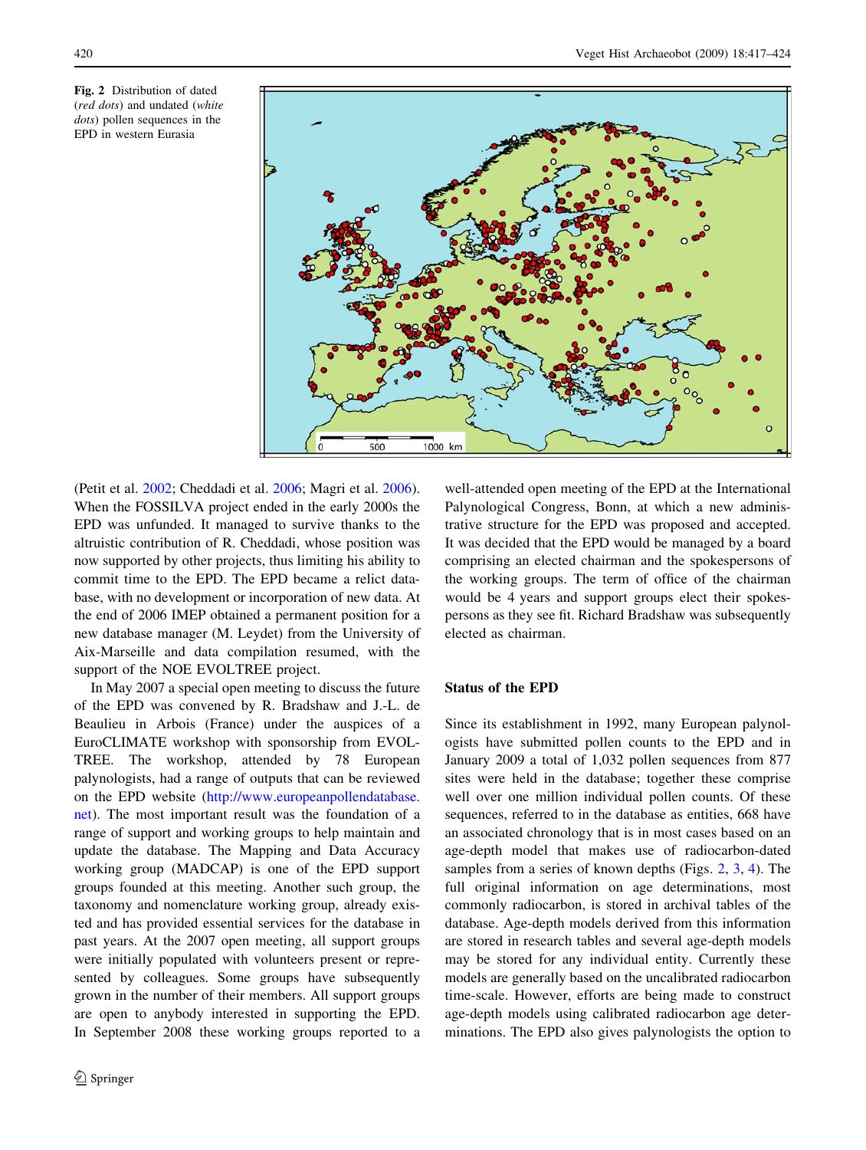



(Petit et al. [2002](#page-7-0); Cheddadi et al. [2006;](#page-7-0) Magri et al. [2006](#page-7-0)). When the FOSSILVA project ended in the early 2000s the EPD was unfunded. It managed to survive thanks to the altruistic contribution of R. Cheddadi, whose position was now supported by other projects, thus limiting his ability to commit time to the EPD. The EPD became a relict database, with no development or incorporation of new data. At the end of 2006 IMEP obtained a permanent position for a new database manager (M. Leydet) from the University of Aix-Marseille and data compilation resumed, with the support of the NOE EVOLTREE project.

In May 2007 a special open meeting to discuss the future of the EPD was convened by R. Bradshaw and J.-L. de Beaulieu in Arbois (France) under the auspices of a EuroCLIMATE workshop with sponsorship from EVOL-TREE. The workshop, attended by 78 European palynologists, had a range of outputs that can be reviewed on the EPD website [\(http://www.europeanpollendatabase.](http://www.europeanpollendatabase.net) [net](http://www.europeanpollendatabase.net)). The most important result was the foundation of a range of support and working groups to help maintain and update the database. The Mapping and Data Accuracy working group (MADCAP) is one of the EPD support groups founded at this meeting. Another such group, the taxonomy and nomenclature working group, already existed and has provided essential services for the database in past years. At the 2007 open meeting, all support groups were initially populated with volunteers present or represented by colleagues. Some groups have subsequently grown in the number of their members. All support groups are open to anybody interested in supporting the EPD. In September 2008 these working groups reported to a

well-attended open meeting of the EPD at the International Palynological Congress, Bonn, at which a new administrative structure for the EPD was proposed and accepted. It was decided that the EPD would be managed by a board comprising an elected chairman and the spokespersons of the working groups. The term of office of the chairman would be 4 years and support groups elect their spokespersons as they see fit. Richard Bradshaw was subsequently elected as chairman.

### Status of the EPD

Since its establishment in 1992, many European palynologists have submitted pollen counts to the EPD and in January 2009 a total of 1,032 pollen sequences from 877 sites were held in the database; together these comprise well over one million individual pollen counts. Of these sequences, referred to in the database as entities, 668 have an associated chronology that is in most cases based on an age-depth model that makes use of radiocarbon-dated samples from a series of known depths (Figs. 2, [3](#page-4-0), [4\)](#page-4-0). The full original information on age determinations, most commonly radiocarbon, is stored in archival tables of the database. Age-depth models derived from this information are stored in research tables and several age-depth models may be stored for any individual entity. Currently these models are generally based on the uncalibrated radiocarbon time-scale. However, efforts are being made to construct age-depth models using calibrated radiocarbon age determinations. The EPD also gives palynologists the option to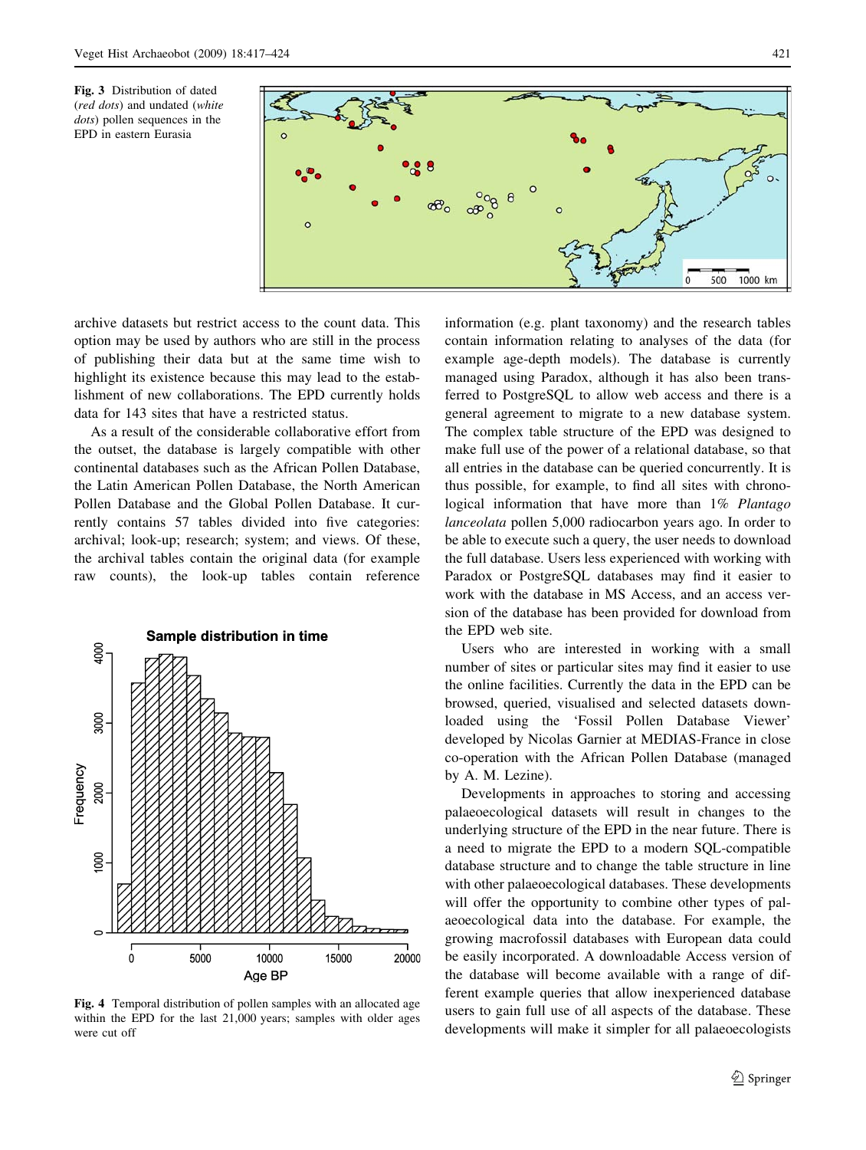<span id="page-4-0"></span>Fig. 3 Distribution of dated (red dots) and undated (white dots) pollen sequences in the EPD in eastern Eurasia



archive datasets but restrict access to the count data. This option may be used by authors who are still in the process of publishing their data but at the same time wish to highlight its existence because this may lead to the establishment of new collaborations. The EPD currently holds data for 143 sites that have a restricted status.

As a result of the considerable collaborative effort from the outset, the database is largely compatible with other continental databases such as the African Pollen Database, the Latin American Pollen Database, the North American Pollen Database and the Global Pollen Database. It currently contains 57 tables divided into five categories: archival; look-up; research; system; and views. Of these, the archival tables contain the original data (for example raw counts), the look-up tables contain reference



Fig. 4 Temporal distribution of pollen samples with an allocated age within the EPD for the last 21,000 years; samples with older ages were cut off

information (e.g. plant taxonomy) and the research tables contain information relating to analyses of the data (for example age-depth models). The database is currently managed using Paradox, although it has also been transferred to PostgreSQL to allow web access and there is a general agreement to migrate to a new database system. The complex table structure of the EPD was designed to make full use of the power of a relational database, so that all entries in the database can be queried concurrently. It is thus possible, for example, to find all sites with chronological information that have more than 1% Plantago lanceolata pollen 5,000 radiocarbon years ago. In order to be able to execute such a query, the user needs to download the full database. Users less experienced with working with Paradox or PostgreSQL databases may find it easier to work with the database in MS Access, and an access version of the database has been provided for download from the EPD web site.

Users who are interested in working with a small number of sites or particular sites may find it easier to use the online facilities. Currently the data in the EPD can be browsed, queried, visualised and selected datasets downloaded using the 'Fossil Pollen Database Viewer' developed by Nicolas Garnier at MEDIAS-France in close co-operation with the African Pollen Database (managed by A. M. Lezine).

Developments in approaches to storing and accessing palaeoecological datasets will result in changes to the underlying structure of the EPD in the near future. There is a need to migrate the EPD to a modern SQL-compatible database structure and to change the table structure in line with other palaeoecological databases. These developments will offer the opportunity to combine other types of palaeoecological data into the database. For example, the growing macrofossil databases with European data could be easily incorporated. A downloadable Access version of the database will become available with a range of different example queries that allow inexperienced database users to gain full use of all aspects of the database. These developments will make it simpler for all palaeoecologists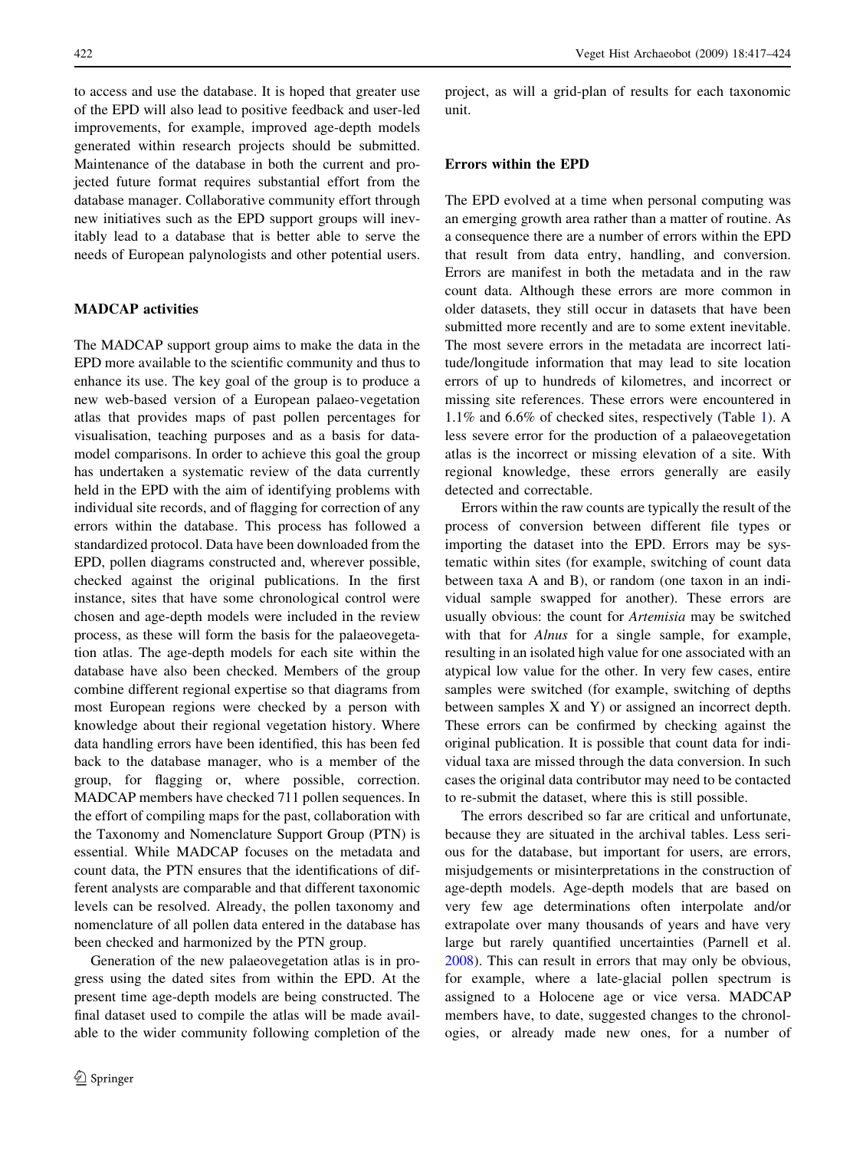to access and use the database. It is hoped that greater use of the EPD will also lead to positive feedback and user-led improvements, for example, improved age-depth models generated within research projects should be submitted. Maintenance of the database in both the current and projected future format requires substantial effort from the database manager. Collaborative community effort through new initiatives such as the EPD support groups will inevitably lead to a database that is better able to serve the needs of European palynologists and other potential users.

# MADCAP activities

The MADCAP support group aims to make the data in the EPD more available to the scientific community and thus to enhance its use. The key goal of the group is to produce a new web-based version of a European palaeo-vegetation atlas that provides maps of past pollen percentages for visualisation, teaching purposes and as a basis for datamodel comparisons. In order to achieve this goal the group has undertaken a systematic review of the data currently held in the EPD with the aim of identifying problems with individual site records, and of flagging for correction of any errors within the database. This process has followed a standardized protocol. Data have been downloaded from the EPD, pollen diagrams constructed and, wherever possible, checked against the original publications. In the first instance, sites that have some chronological control were chosen and age-depth models were included in the review process, as these will form the basis for the palaeovegetation atlas. The age-depth models for each site within the database have also been checked. Members of the group combine different regional expertise so that diagrams from most European regions were checked by a person with knowledge about their regional vegetation history. Where data handling errors have been identified, this has been fed back to the database manager, who is a member of the group, for flagging or, where possible, correction. MADCAP members have checked 711 pollen sequences. In the effort of compiling maps for the past, collaboration with the Taxonomy and Nomenclature Support Group (PTN) is essential. While MADCAP focuses on the metadata and count data, the PTN ensures that the identifications of different analysts are comparable and that different taxonomic levels can be resolved. Already, the pollen taxonomy and nomenclature of all pollen data entered in the database has been checked and harmonized by the PTN group.

Generation of the new palaeovegetation atlas is in progress using the dated sites from within the EPD. At the present time age-depth models are being constructed. The final dataset used to compile the atlas will be made available to the wider community following completion of the project, as will a grid-plan of results for each taxonomic unit.

# Errors within the EPD

The EPD evolved at a time when personal computing was an emerging growth area rather than a matter of routine. As a consequence there are a number of errors within the EPD that result from data entry, handling, and conversion. Errors are manifest in both the metadata and in the raw count data. Although these errors are more common in older datasets, they still occur in datasets that have been submitted more recently and are to some extent inevitable. The most severe errors in the metadata are incorrect latitude/longitude information that may lead to site location errors of up to hundreds of kilometres, and incorrect or missing site references. These errors were encountered in 1.1% and 6.6% of checked sites, respectively (Table [1](#page-6-0)). A less severe error for the production of a palaeovegetation atlas is the incorrect or missing elevation of a site. With regional knowledge, these errors generally are easily detected and correctable.

Errors within the raw counts are typically the result of the process of conversion between different file types or importing the dataset into the EPD. Errors may be systematic within sites (for example, switching of count data between taxa A and B), or random (one taxon in an individual sample swapped for another). These errors are usually obvious: the count for Artemisia may be switched with that for Alnus for a single sample, for example, resulting in an isolated high value for one associated with an atypical low value for the other. In very few cases, entire samples were switched (for example, switching of depths between samples X and Y) or assigned an incorrect depth. These errors can be confirmed by checking against the original publication. It is possible that count data for individual taxa are missed through the data conversion. In such cases the original data contributor may need to be contacted to re-submit the dataset, where this is still possible.

The errors described so far are critical and unfortunate, because they are situated in the archival tables. Less serious for the database, but important for users, are errors, misjudgements or misinterpretations in the construction of age-depth models. Age-depth models that are based on very few age determinations often interpolate and/or extrapolate over many thousands of years and have very large but rarely quantified uncertainties (Parnell et al. [2008](#page-7-0)). This can result in errors that may only be obvious, for example, where a late-glacial pollen spectrum is assigned to a Holocene age or vice versa. MADCAP members have, to date, suggested changes to the chronologies, or already made new ones, for a number of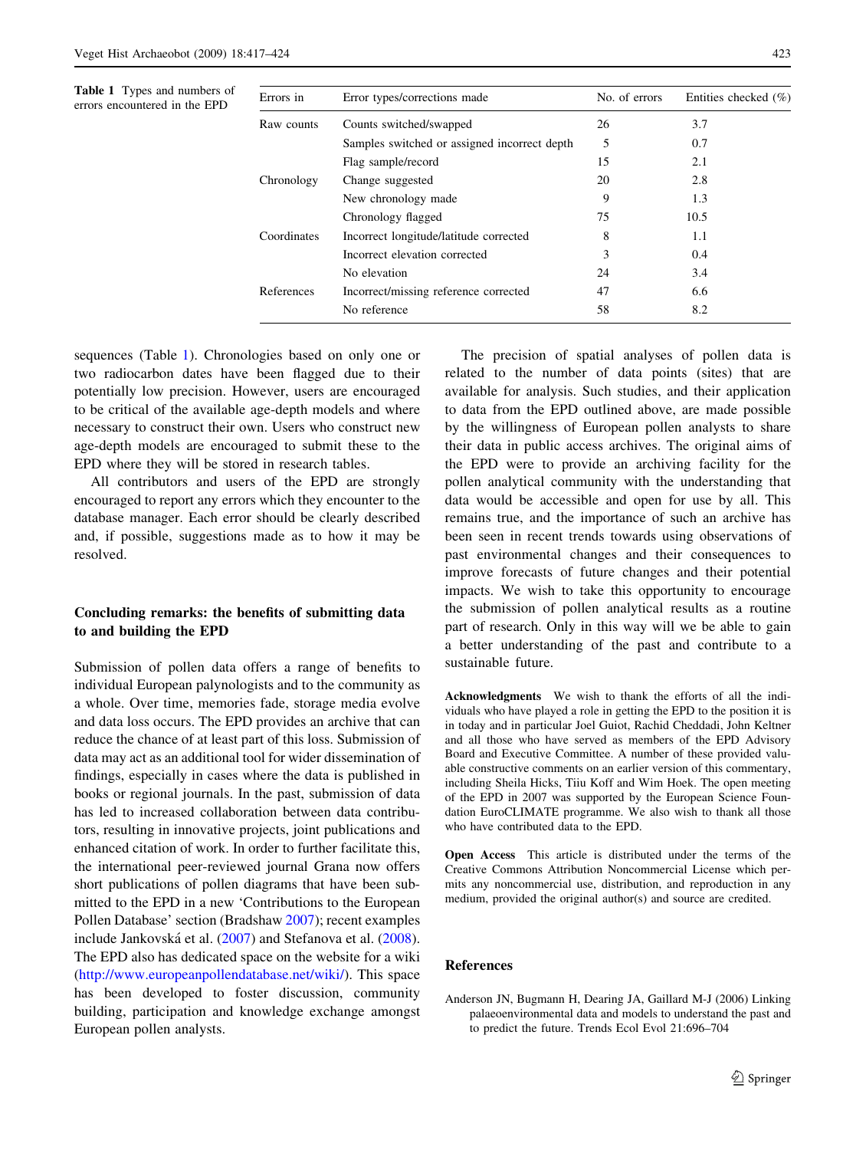<span id="page-6-0"></span>Table 1 Types and numbers of errors encountered in the EPD

| Errors in   | Error types/corrections made                 | No. of errors | Entities checked $(\% )$ |
|-------------|----------------------------------------------|---------------|--------------------------|
| Raw counts  | Counts switched/swapped                      | 26            | 3.7                      |
|             | Samples switched or assigned incorrect depth | 5             | 0.7                      |
|             | Flag sample/record                           | 15            | 2.1                      |
| Chronology  | Change suggested                             | 20            | 2.8                      |
|             | New chronology made                          | 9             | 1.3                      |
|             | Chronology flagged                           | 75            | 10.5                     |
| Coordinates | Incorrect longitude/latitude corrected       | 8             | 1.1                      |
|             | Incorrect elevation corrected                | 3             | 0.4                      |
|             | No elevation                                 | 24            | 3.4                      |
| References  | Incorrect/missing reference corrected        | 47            | 6.6                      |
|             | No reference                                 | 58            | 8.2                      |

sequences (Table 1). Chronologies based on only one or two radiocarbon dates have been flagged due to their potentially low precision. However, users are encouraged to be critical of the available age-depth models and where necessary to construct their own. Users who construct new age-depth models are encouraged to submit these to the EPD where they will be stored in research tables.

All contributors and users of the EPD are strongly encouraged to report any errors which they encounter to the database manager. Each error should be clearly described and, if possible, suggestions made as to how it may be resolved.

# Concluding remarks: the benefits of submitting data to and building the EPD

Submission of pollen data offers a range of benefits to individual European palynologists and to the community as a whole. Over time, memories fade, storage media evolve and data loss occurs. The EPD provides an archive that can reduce the chance of at least part of this loss. Submission of data may act as an additional tool for wider dissemination of findings, especially in cases where the data is published in books or regional journals. In the past, submission of data has led to increased collaboration between data contributors, resulting in innovative projects, joint publications and enhanced citation of work. In order to further facilitate this, the international peer-reviewed journal Grana now offers short publications of pollen diagrams that have been submitted to the EPD in a new 'Contributions to the European Pollen Database' section (Bradshaw [2007\)](#page-7-0); recent examples include Jankovská et al. ([2007\)](#page-7-0) and Stefanova et al. [\(2008](#page-7-0)). The EPD also has dedicated space on the website for a wiki [\(http://www.europeanpollendatabase.net/wiki/\)](http://www.europeanpollendatabase.net/wiki/). This space has been developed to foster discussion, community building, participation and knowledge exchange amongst European pollen analysts.

The precision of spatial analyses of pollen data is related to the number of data points (sites) that are available for analysis. Such studies, and their application to data from the EPD outlined above, are made possible by the willingness of European pollen analysts to share their data in public access archives. The original aims of the EPD were to provide an archiving facility for the pollen analytical community with the understanding that data would be accessible and open for use by all. This remains true, and the importance of such an archive has been seen in recent trends towards using observations of past environmental changes and their consequences to improve forecasts of future changes and their potential impacts. We wish to take this opportunity to encourage the submission of pollen analytical results as a routine part of research. Only in this way will we be able to gain a better understanding of the past and contribute to a sustainable future.

Acknowledgments We wish to thank the efforts of all the individuals who have played a role in getting the EPD to the position it is in today and in particular Joel Guiot, Rachid Cheddadi, John Keltner and all those who have served as members of the EPD Advisory Board and Executive Committee. A number of these provided valuable constructive comments on an earlier version of this commentary, including Sheila Hicks, Tiiu Koff and Wim Hoek. The open meeting of the EPD in 2007 was supported by the European Science Foundation EuroCLIMATE programme. We also wish to thank all those who have contributed data to the EPD.

Open Access This article is distributed under the terms of the Creative Commons Attribution Noncommercial License which permits any noncommercial use, distribution, and reproduction in any medium, provided the original author(s) and source are credited.

# References

Anderson JN, Bugmann H, Dearing JA, Gaillard M-J (2006) Linking palaeoenvironmental data and models to understand the past and to predict the future. Trends Ecol Evol 21:696–704